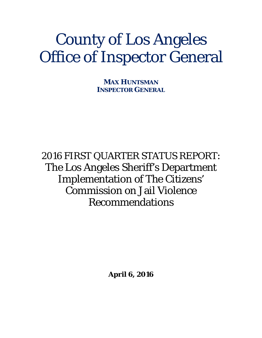# County of Los Angeles Office of Inspector General

**MAX HUNTSMAN INSPECTOR GENERAL**

2016 FIRST QUARTER STATUS REPORT: The Los Angeles Sheriff's Department Implementation of The Citizens' Commission on Jail Violence Recommendations

**April 6, 2016**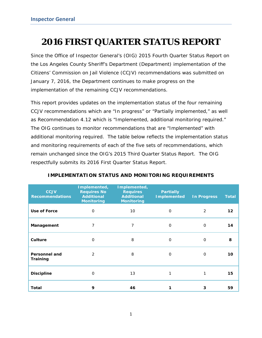## **2016 FIRST QUARTER STATUS REPORT**

Since the Office of Inspector General's (OIG) *2015 Fourth Quarter Status Report* on the Los Angeles County Sheriff's Department (Department) implementation of the Citizens' Commission on Jail Violence (CCJV) recommendations was submitted on January 7, 2016, the Department continues to make progress on the implementation of the remaining CCJV recommendations.

This report provides updates on the implementation status of the four remaining CCJV recommendations which are "In progress" or "Partially implemented," as well as Recommendation 4.12 which is "Implemented, additional monitoring required." The OIG continues to monitor recommendations that are "Implemented" with additional monitoring required. The table below reflects the implementation status and monitoring requirements of each of the five sets of recommendations, which remain unchanged since the OIG's *2015 Third Quarter Status Report*. The OIG respectfully submits its 2016 First Quarter Status Report*.*

| <b>CCJV</b><br><b>Recommendations</b> | Implemented,<br><b>Requires No</b><br><b>Additional</b><br><b>Monitoring</b> | Implemented,<br><b>Requires</b><br><b>Additional</b><br><b>Monitoring</b> | <b>Partially</b><br><b>Implemented</b> | <b>In Progress</b> | <b>Total</b> |
|---------------------------------------|------------------------------------------------------------------------------|---------------------------------------------------------------------------|----------------------------------------|--------------------|--------------|
| Use of Force                          | $\mathbf 0$                                                                  | 10                                                                        | $\mathbf 0$                            | 2                  | 12           |
| Management                            | 7                                                                            | 7                                                                         | $\mathbf 0$                            | $\mathbf 0$        | 14           |
| Culture                               | $\Omega$                                                                     | 8                                                                         | $\Omega$                               | $\Omega$           | 8            |
| <b>Personnel and</b><br>Training      | $\mathcal{P}$                                                                | 8                                                                         | $\Omega$                               | $\Omega$           | 10           |
| <b>Discipline</b>                     | $\mathbf 0$                                                                  | 13                                                                        | 1                                      | 1                  | 15           |
| Total                                 | 9                                                                            | 46                                                                        |                                        | 3                  | 59           |

#### **IMPLEMENTATION STATUS AND MONITORING REQUIREMENTS**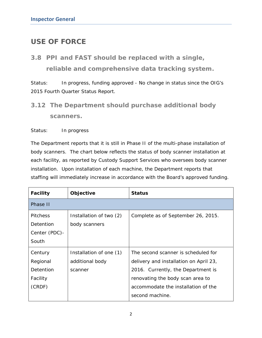### **USE OF FORCE**

*3.8 PPI and FAST should be replaced with a single, reliable and comprehensive data tracking system.* 

*Status: In progress, funding approved* - No change in status since the OIG's *2015 Fourth Quarter Status Report.*

*3.12 The Department should purchase additional body scanners.* 

*Status: In progress* 

The Department reports that it is still in Phase II of the multi-phase installation of body scanners. The chart below reflects the status of body scanner installation at each facility, as reported by Custody Support Services who oversees body scanner installation. Upon installation of each machine, the Department reports that staffing will immediately increase in accordance with the Board's approved funding.

| <b>Facility</b> | Objective               | <b>Status</b>                          |
|-----------------|-------------------------|----------------------------------------|
| Phase II        |                         |                                        |
| <b>Pitchess</b> | Installation of two (2) | Complete as of September 26, 2015.     |
| Detention       | body scanners           |                                        |
| Center (PDC)-   |                         |                                        |
| South           |                         |                                        |
| Century         | Installation of one (1) | The second scanner is scheduled for    |
| Regional        | additional body         | delivery and installation on April 23, |
| Detention       | scanner                 | 2016. Currently, the Department is     |
| Facility        |                         | renovating the body scan area to       |
| (CRDF)          |                         | accommodate the installation of the    |
|                 |                         | second machine.                        |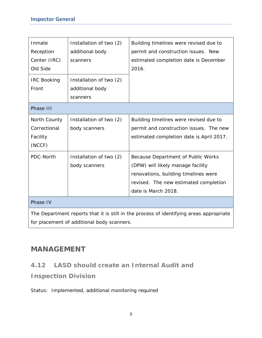| Inmate                                                                                  | Installation of two (2)                    | Building timelines were revised due to   |  |  |  |  |
|-----------------------------------------------------------------------------------------|--------------------------------------------|------------------------------------------|--|--|--|--|
| Reception                                                                               | additional body                            | permit and construction issues. New      |  |  |  |  |
| Center (IRC)                                                                            | scanners                                   | estimated completion date is December    |  |  |  |  |
| Old Side                                                                                |                                            | 2016.                                    |  |  |  |  |
| <b>IRC Booking</b>                                                                      | Installation of two (2)                    |                                          |  |  |  |  |
| Front                                                                                   | additional body                            |                                          |  |  |  |  |
|                                                                                         | scanners                                   |                                          |  |  |  |  |
| Phase III                                                                               |                                            |                                          |  |  |  |  |
| North County                                                                            | Installation of two (2)                    | Building timelines were revised due to   |  |  |  |  |
| Correctional                                                                            | body scanners                              | permit and construction issues. The new  |  |  |  |  |
| Facility                                                                                |                                            | estimated completion date is April 2017. |  |  |  |  |
| (NCCF)                                                                                  |                                            |                                          |  |  |  |  |
| PDC-North                                                                               | Installation of two (2)                    | Because Department of Public Works       |  |  |  |  |
|                                                                                         | body scanners                              | (DPW) will likely manage facility        |  |  |  |  |
|                                                                                         |                                            | renovations, building timelines were     |  |  |  |  |
|                                                                                         |                                            | revised. The new estimated completion    |  |  |  |  |
|                                                                                         |                                            | date is March 2018.                      |  |  |  |  |
| Phase IV                                                                                |                                            |                                          |  |  |  |  |
| The Department reports that it is still in the process of identifying areas appropriate |                                            |                                          |  |  |  |  |
|                                                                                         | for placement of additional body scanners. |                                          |  |  |  |  |

#### **MANAGEMENT**

#### *4.12 LASD should create an Internal Audit and*

*Inspection Division* 

*Status: Implemented, additional monitoring required*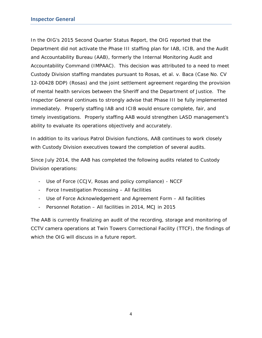In the OIG's *2015 Second Quarter Status Report*, the OIG reported that the Department did not activate the Phase III staffing plan for IAB, ICIB, and the Audit and Accountability Bureau (AAB), formerly the Internal Monitoring Audit and Accountability Command (IMPAAC). This decision was attributed to a need to meet Custody Division staffing mandates pursuant to *Rosas, et al. v. Baca* (Case No. CV 12-00428 DDP) (*Rosas*) and the joint settlement agreement regarding the provision of mental health services between the Sheriff and the Department of Justice. The Inspector General continues to strongly advise that Phase III be fully implemented immediately. Properly staffing IAB and ICIB would ensure complete, fair, and timely investigations. Properly staffing AAB would strengthen LASD management's ability to evaluate its operations objectively and accurately.

In addition to its various Patrol Division functions, AAB continues to work closely with Custody Division executives toward the completion of several audits.

Since July 2014, the AAB has completed the following audits related to Custody Division operations:

- Use of Force (CCJV, Rosas and policy compliance) NCCF
- Force Investigation Processing All facilities
- Use of Force Acknowledgement and Agreement Form All facilities
- Personnel Rotation All facilities in 2014, MCJ in 2015

The AAB is currently finalizing an audit of the recording, storage and monitoring of CCTV camera operations at Twin Towers Correctional Facility (TTCF), the findings of which the OIG will discuss in a future report.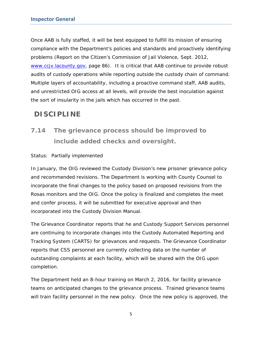Once AAB is fully staffed, it will be best equipped to fulfill its mission of ensuring compliance with the Department's policies and standards and proactively identifying problems (*Report on the Citizen's Commission of Jail Violence*, Sept. 2012, www.ccjv.lacounty.gov, page 86). It is critical that AAB continue to provide robust audits of custody operations while reporting outside the custody chain of command. Multiple layers of accountability, including a proactive command staff, AAB audits, and unrestricted OIG access at all levels, will provide the best inoculation against the sort of insularity in the jails which has occurred in the past.

### **DISCIPLINE**

## *7.14 The grievance process should be improved to include added checks and oversight.*

#### *Status: Partially implemented*

In January, the OIG reviewed the Custody Division's new prisoner grievance policy and recommended revisions. The Department is working with County Counsel to incorporate the final changes to the policy based on proposed revisions from the *Rosas* monitors and the OIG. Once the policy is finalized and completes the meet and confer process, it will be submitted for executive approval and then incorporated into the Custody Division Manual.

The Grievance Coordinator reports that he and Custody Support Services personnel are continuing to incorporate changes into the Custody Automated Reporting and Tracking System (CARTS) for grievances and requests. The Grievance Coordinator reports that CSS personnel are currently collecting data on the number of outstanding complaints at each facility, which will be shared with the OIG upon completion.

The Department held an 8-hour training on March 2, 2016, for facility grievance teams on anticipated changes to the grievance process. Trained grievance teams will train facility personnel in the new policy. Once the new policy is approved, the

5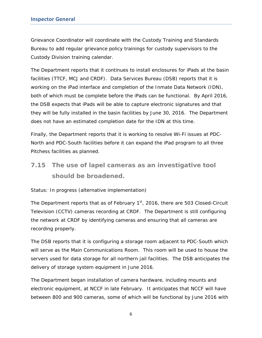Grievance Coordinator will coordinate with the Custody Training and Standards Bureau to add regular grievance policy trainings for custody supervisors to the Custody Division training calendar.

The Department reports that it continues to install enclosures for iPads at the basin facilities (TTCF, MCJ and CRDF). Data Services Bureau (DSB) reports that it is working on the iPad interface and completion of the Inmate Data Network (IDN), both of which must be complete before the iPads can be functional. By April 2016, the DSB expects that iPads will be able to capture electronic signatures and that they will be fully installed in the basin facilities by June 30, 2016. The Department does not have an estimated completion date for the IDN at this time.

Finally, the Department reports that it is working to resolve Wi-Fi issues at PDC-North and PDC-South facilities before it can expand the iPad program to all three Pitchess facilities as planned.

## *7.15 The use of lapel cameras as an investigative tool should be broadened.*

#### *Status: In progress (alternative implementation)*

The Department reports that as of February  $1<sup>st</sup>$ , 2016, there are 503 Closed-Circuit Television (CCTV) cameras recording at CRDF. The Department is still configuring the network at CRDF by identifying cameras and ensuring that all cameras are recording properly.

The DSB reports that it is configuring a storage room adjacent to PDC-South which will serve as the Main Communications Room. This room will be used to house the servers used for data storage for all northern jail facilities. The DSB anticipates the delivery of storage system equipment in June 2016.

The Department began installation of camera hardware, including mounts and electronic equipment, at NCCF in late February. It anticipates that NCCF will have between 800 and 900 cameras, some of which will be functional by June 2016 with

6